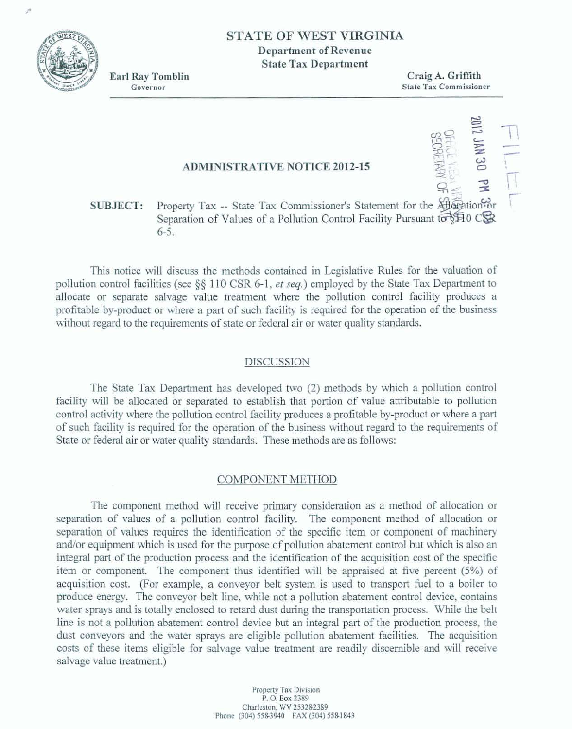

À

# **STATE OF WEST VIRGINIA Department of Revenue State Tax Department**

**Earl Ray Tomblin** Governor

Craig A. Griffith **State Tax Commissioner** 

**PH JAN 30 PM** 

## **ADMINISTRATIVE NOTICE 2012-15**

#### Property Tax -- State Tax Commissioner's Statement for the Allocation or **SUBJECT:** Separation of Values of a Pollution Control Facility Pursuant to \$10 CSR  $6 - 5.$

This notice will discuss the methods contained in Legislative Rules for the valuation of pollution control facilities (see §§ 110 CSR 6-1, et seq.) employed by the State Tax Department to allocate or separate salvage value treatment where the pollution control facility produces a profitable by-product or where a part of such facility is required for the operation of the business without regard to the requirements of state or federal air or water quality standards.

#### **DISCUSSION**

The State Tax Department has developed two (2) methods by which a pollution control facility will be allocated or separated to establish that portion of value attributable to pollution control activity where the pollution control facility produces a profitable by-product or where a part of such facility is required for the operation of the business without regard to the requirements of State or federal air or water quality standards. These methods are as follows:

#### COMPONENT METHOD

The component method will receive primary consideration as a method of allocation or separation of values of a pollution control facility. The component method of allocation or separation of values requires the identification of the specific item or component of machinery and/or equipment which is used for the purpose of pollution abatement control but which is also an integral part of the production process and the identification of the acquisition cost of the specific item or component. The component thus identified will be appraised at five percent (5%) of acquisition cost. (For example, a conveyor belt system is used to transport fuel to a boiler to produce energy. The conveyor belt line, while not a pollution abatement control device, contains water sprays and is totally enclosed to retard dust during the transportation process. While the belt line is not a pollution abatement control device but an integral part of the production process, the dust conveyors and the water sprays are eligible pollution abatement facilities. The acquisition costs of these items eligible for salvage value treatment are readily discernible and will receive salvage value treatment.)

> Property Tax Division P.O. Box 2389 Charleston, WV 253282389 Phone (304) 558-3940 FAX (304) 558-1843